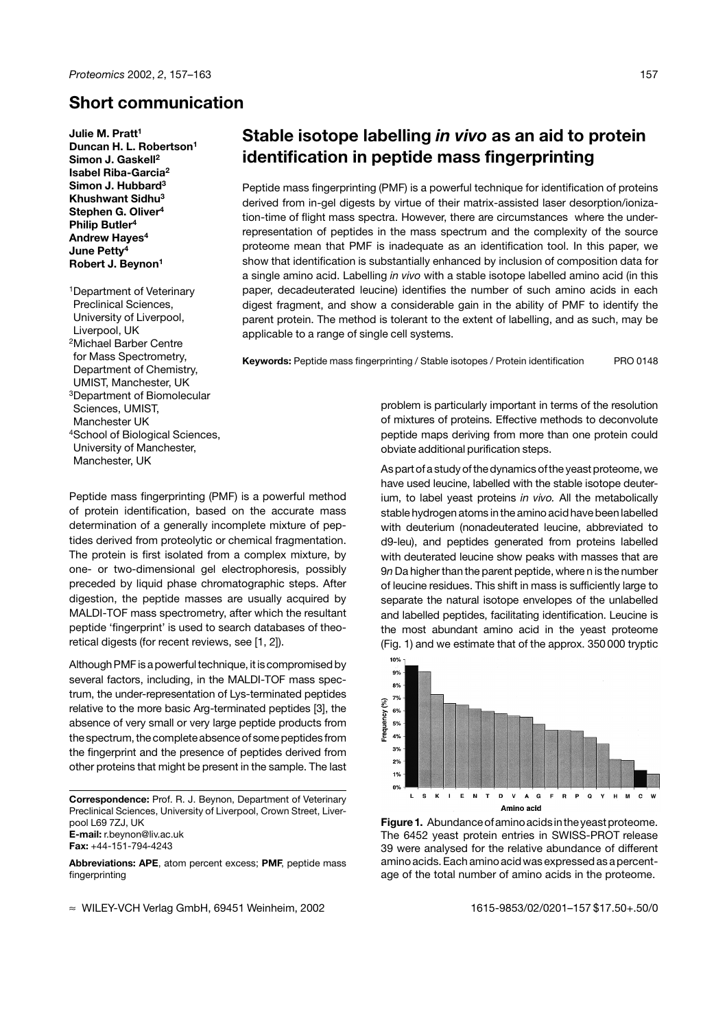## **Short communication**

**Julie M. Pratt1 Duncan H. L. Robertson1 Simon J. Gaskell2 Isabel Riba-Garcia2 Simon J. Hubbard3 Khushwant Sidhu3 Stephen G. Oliver4 Philip Butler4 Andrew Hayes4 June Petty4 Robert J. Beynon1**

1Department of Veterinary Preclinical Sciences, University of Liverpool, Liverpool, UK 2Michael Barber Centre for Mass Spectrometry, Department of Chemistry, UMIST, Manchester, UK 3Department of Biomolecular Sciences, UMIST, Manchester UK 4School of Biological Sciences, University of Manchester, Manchester, UK

# **Stable isotope labelling** *in vivo* **as an aid to protein identification in peptide mass fingerprinting**

Peptide mass fingerprinting (PMF) is a powerful technique for identification of proteins derived from in-gel digests by virtue of their matrix-assisted laser desorption/ionization-time of flight mass spectra. However, there are circumstances where the underrepresentation of peptides in the mass spectrum and the complexity of the source proteome mean that PMF is inadequate as an identification tool. In this paper, we show that identification is substantially enhanced by inclusion of composition data for a single amino acid. Labelling *in vivo* with a stable isotope labelled amino acid (in this paper, decadeuterated leucine) identifies the number of such amino acids in each digest fragment, and show a considerable gain in the ability of PMF to identify the parent protein. The method is tolerant to the extent of labelling, and as such, may be applicable to a range of single cell systems.

**Keywords:** Peptide mass fingerprinting / Stable isotopes / Protein identification PRO 0148

Peptide mass fingerprinting (PMF) is a powerful method of protein identification, based on the accurate mass determination of a generally incomplete mixture of peptides derived from proteolytic or chemical fragmentation. The protein is first isolated from a complex mixture, by one- or two-dimensional gel electrophoresis, possibly preceded by liquid phase chromatographic steps. After digestion, the peptide masses are usually acquired by MALDI-TOF mass spectrometry, after which the resultant peptide 'fingerprint' is used to search databases of theoretical digests (for recent reviews, see [1, 2]).

Although PMF is a powerful technique, it is compromised by several factors, including, in the MALDI-TOF mass spectrum, the under-representation of Lys-terminated peptides relative to the more basic Arg-terminated peptides [3], the absence of very small or very large peptide products from the spectrum, the completeabsence ofsome peptides from the fingerprint and the presence of peptides derived from other proteins that might be present in the sample. The last

**Correspondence:** Prof. R. J. Beynon, Department of Veterinary Preclinical Sciences, University of Liverpool, Crown Street, Liverpool L69 7ZJ, UK **E-mail:** r.beynon@liv.ac.uk **Fax:** +44-151-794-4243

**Abbreviations: APE**, atom percent excess; **PMF**, peptide mass fingerprinting

 $\approx$  WILEY-VCH Verlag GmbH, 69451 Weinheim, 2002 1615-9853/02/0201–157 \$17.50+.50/0

problem is particularly important in terms of the resolution of mixtures of proteins. Effective methods to deconvolute peptide maps deriving from more than one protein could obviate additional purification steps.

As part of a study of the dynamics of the yeast proteome, we have used leucine, labelled with the stable isotope deuterium, to label yeast proteins *in vivo.* All the metabolically stable hydrogen atoms in the amino acid have been labelled with deuterium (nonadeuterated leucine, abbreviated to d9-leu), and peptides generated from proteins labelled with deuterated leucine show peaks with masses that are 9*n* Da higher than the parent peptide, where n is the number of leucine residues. This shift in mass is sufficiently large to separate the natural isotope envelopes of the unlabelled and labelled peptides, facilitating identification. Leucine is the most abundant amino acid in the yeast proteome (Fig. 1) and we estimate that of the approx. 350 000 tryptic



Figure 1. Abundance of amino acids in the yeast proteome. The 6452 yeast protein entries in SWISS-PROT release 39 were analysed for the relative abundance of different amino acids. Each amino acid was expressed as a percentage of the total number of amino acids in the proteome.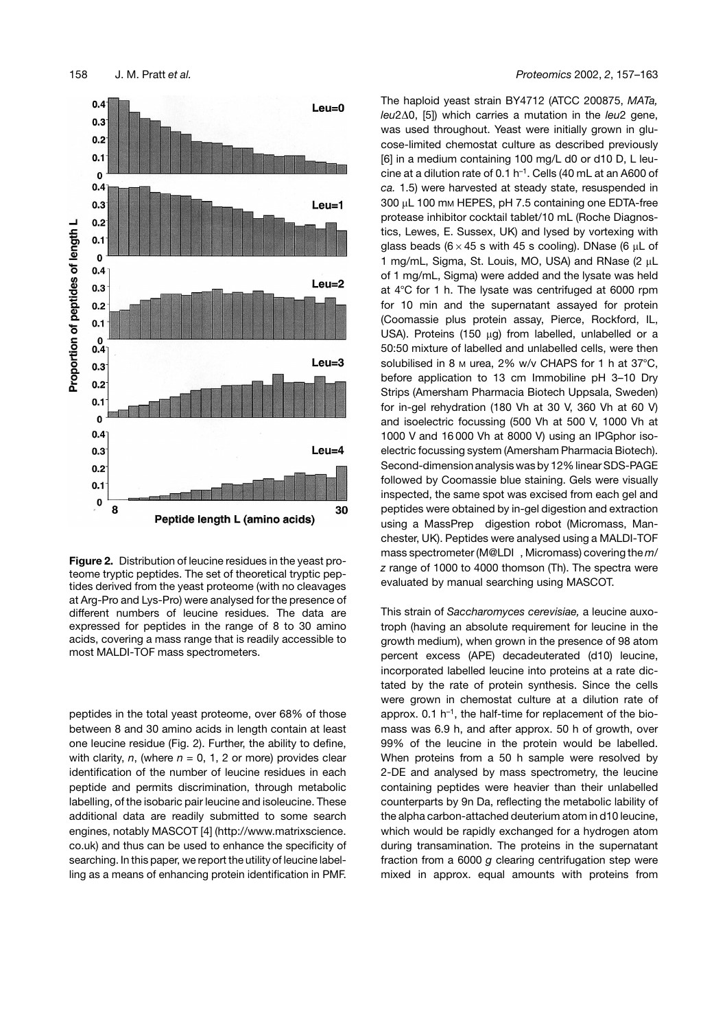

**Figure 2.** Distribution of leucine residues in the yeast proteome tryptic peptides. The set of theoretical tryptic peptides derived from the yeast proteome (with no cleavages at Arg-Pro and Lys-Pro) were analysed for the presence of different numbers of leucine residues. The data are expressed for peptides in the range of 8 to 30 amino acids, covering a mass range that is readily accessible to most MALDI-TOF mass spectrometers.

peptides in the total yeast proteome, over 68% of those between 8 and 30 amino acids in length contain at least one leucine residue (Fig. 2). Further, the ability to define, with clarity, *n*, (where  $n = 0, 1, 2$  or more) provides clear identification of the number of leucine residues in each peptide and permits discrimination, through metabolic labelling, of the isobaric pair leucine and isoleucine. These additional data are readily submitted to some search engines, notably MASCOT [4] (http://www.matrixscience. co.uk) and thus can be used to enhance the specificity of searching. In this paper, we report the utility of leucine labelling as a means of enhancing protein identification in PMF.

The haploid yeast strain BY4712 (ATCC 200875, *MATa, leu*20, [5]) which carries a mutation in the *leu*2 gene, was used throughout. Yeast were initially grown in glucose-limited chemostat culture as described previously [6] in a medium containing 100 mg/L d0 or d10 D, L leucine at a dilution rate of 0.1  $h^{-1}$ . Cells (40 mL at an A600 of *ca.* 1.5) were harvested at steady state, resuspended in 300 µL 100 mm HEPES, pH 7.5 containing one EDTA-free protease inhibitor cocktail tablet/10 mL (Roche Diagnostics, Lewes, E. Sussex, UK) and lysed by vortexing with glass beads (6  $\times$  45 s with 45 s cooling). DNase (6  $\mu$ L of 1 mg/mL, Sigma, St. Louis, MO, USA) and RNase (2 µL of 1 mg/mL, Sigma) were added and the lysate was held at  $4^{\circ}$ C for 1 h. The lysate was centrifuged at 6000 rpm for 10 min and the supernatant assayed for protein (Coomassie plus protein assay, Pierce, Rockford, IL, USA). Proteins (150  $\mu$ g) from labelled, unlabelled or a 50:50 mixture of labelled and unlabelled cells, were then solubilised in 8  $M$  urea, 2% w/v CHAPS for 1 h at 37 $^{\circ}$ C, before application to 13 cm Immobiline pH 3–10 Dry Strips (Amersham Pharmacia Biotech Uppsala, Sweden) for in-gel rehydration (180 Vh at 30 V, 360 Vh at 60 V) and isoelectric focussing (500 Vh at 500 V, 1000 Vh at 1000 V and 16 000 Vh at 8000 V) using an IPGphor isoelectric focussing system (Amersham Pharmacia Biotech). Second-dimension analysis was by 12% linear SDS-PAGE followed by Coomassie blue staining. Gels were visually inspected, the same spot was excised from each gel and peptides were obtained by in-gel digestion and extraction using a MassPrep digestion robot (Micromass, Manchester, UK). Peptides were analysed using a MALDI-TOF mass spectrometer (M@LDI , Micromass) covering the *m/ z* range of 1000 to 4000 thomson (Th). The spectra were evaluated by manual searching using MASCOT.

This strain of *Saccharomyces cerevisiae,* a leucine auxotroph (having an absolute requirement for leucine in the growth medium), when grown in the presence of 98 atom percent excess (APE) decadeuterated (d10) leucine, incorporated labelled leucine into proteins at a rate dictated by the rate of protein synthesis. Since the cells were grown in chemostat culture at a dilution rate of approx.  $0.1$  h<sup>-1</sup>, the half-time for replacement of the biomass was 6.9 h, and after approx. 50 h of growth, over 99% of the leucine in the protein would be labelled. When proteins from a 50 h sample were resolved by 2-DE and analysed by mass spectrometry, the leucine containing peptides were heavier than their unlabelled counterparts by 9n Da, reflecting the metabolic lability of the alpha carbon-attached deuterium atom in d10 leucine, which would be rapidly exchanged for a hydrogen atom during transamination. The proteins in the supernatant fraction from a 6000 *g* clearing centrifugation step were mixed in approx. equal amounts with proteins from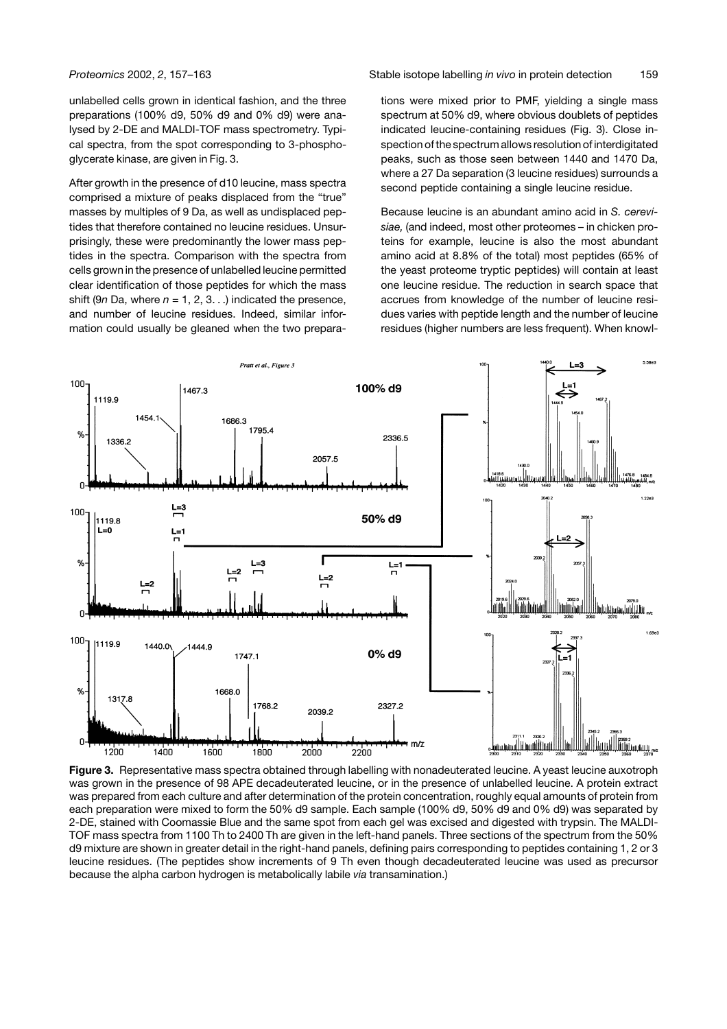unlabelled cells grown in identical fashion, and the three preparations (100% d9, 50% d9 and 0% d9) were analysed by 2-DE and MALDI-TOF mass spectrometry. Typical spectra, from the spot corresponding to 3-phosphoglycerate kinase, are given in Fig. 3.

After growth in the presence of d10 leucine, mass spectra comprised a mixture of peaks displaced from the "true" masses by multiples of 9 Da, as well as undisplaced peptides that therefore contained no leucine residues. Unsurprisingly, these were predominantly the lower mass peptides in the spectra. Comparison with the spectra from cells grown in the presence of unlabelled leucine permitted clear identification of those peptides for which the mass shift (9*n* Da, where  $n = 1, 2, 3...$ ) indicated the presence, and number of leucine residues. Indeed, similar information could usually be gleaned when the two prepara-

*Proteomics* 2002, *2*, 157–163 Stable isotope labelling *in vivo* in protein detection 159

tions were mixed prior to PMF, yielding a single mass spectrum at 50% d9, where obvious doublets of peptides indicated leucine-containing residues (Fig. 3). Close inspection of the spectrum allows resolution of interdigitated peaks, such as those seen between 1440 and 1470 Da, where a 27 Da separation (3 leucine residues) surrounds a second peptide containing a single leucine residue.

Because leucine is an abundant amino acid in *S. cerevisiae,* (and indeed, most other proteomes – in chicken proteins for example, leucine is also the most abundant amino acid at 8.8% of the total) most peptides (65% of the yeast proteome tryptic peptides) will contain at least one leucine residue. The reduction in search space that accrues from knowledge of the number of leucine residues varies with peptide length and the number of leucine residues (higher numbers are less frequent). When knowl-



**Figure 3.** Representative mass spectra obtained through labelling with nonadeuterated leucine. A yeast leucine auxotroph was grown in the presence of 98 APE decadeuterated leucine, or in the presence of unlabelled leucine. A protein extract was prepared from each culture and after determination of the protein concentration, roughly equal amounts of protein from each preparation were mixed to form the 50% d9 sample. Each sample (100% d9, 50% d9 and 0% d9) was separated by 2-DE, stained with Coomassie Blue and the same spot from each gel was excised and digested with trypsin. The MALDI-TOF mass spectra from 1100 Th to 2400 Th are given in the left-hand panels. Three sections of the spectrum from the 50% d9 mixture are shown in greater detail in the right-hand panels, defining pairs corresponding to peptides containing 1, 2 or 3 leucine residues. (The peptides show increments of 9 Th even though decadeuterated leucine was used as precursor because the alpha carbon hydrogen is metabolically labile *via* transamination.)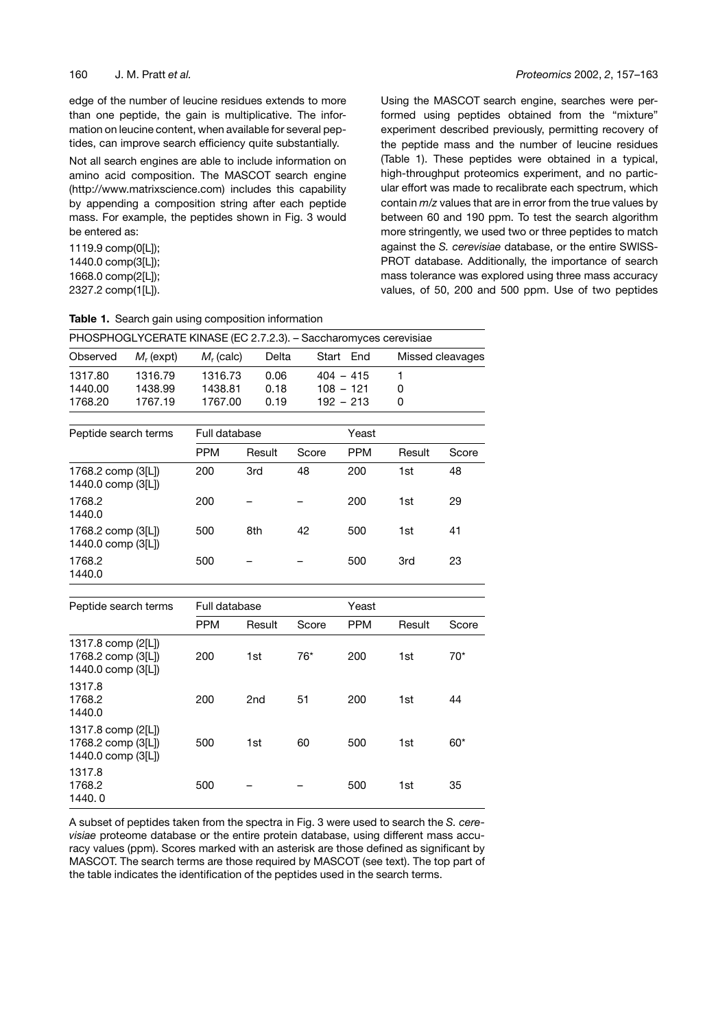edge of the number of leucine residues extends to more than one peptide, the gain is multiplicative. The information on leucine content, when available for several peptides, can improve search efficiency quite substantially.

Not all search engines are able to include information on amino acid composition. The MASCOT search engine (http://www.matrixscience.com) includes this capability by appending a composition string after each peptide mass. For example, the peptides shown in Fig. 3 would be entered as:

**Table 1.** Search gain using composition information

1119.9 comp(0[L]); 1440.0 comp(3[L]); 1668.0 comp(2[L]); 2327.2 comp(1[L]).

Using the MASCOT search engine, searches were performed using peptides obtained from the "mixture" experiment described previously, permitting recovery of the peptide mass and the number of leucine residues (Table 1). These peptides were obtained in a typical, high-throughput proteomics experiment, and no particular effort was made to recalibrate each spectrum, which contain *m/z* values that are in error from the true values by between 60 and 190 ppm. To test the search algorithm more stringently, we used two or three peptides to match against the *S. cerevisiae* database, or the entire SWISS-PROT database. Additionally, the importance of search mass tolerance was explored using three mass accuracy values, of 50, 200 and 500 ppm. Use of two peptides

| PHOSPHOGLYCERATE KINASE (EC 2.7.2.3). - Saccharomyces cerevisiae |              |              |       |             |                  |  |  |
|------------------------------------------------------------------|--------------|--------------|-------|-------------|------------------|--|--|
| Observed                                                         | $M_r$ (expt) | $M_r$ (calc) | Delta | Start End   | Missed cleavages |  |  |
| 1317.80                                                          | 1316.79      | 1316.73      | 0.06  | $404 - 415$ |                  |  |  |
| 1440.00                                                          | 1438.99      | 1438.81      | 0.18  | $108 - 121$ | 0                |  |  |
| 1768.20                                                          | 1767.19      | 1767.00      | 0.19  | $192 - 213$ |                  |  |  |
|                                                                  |              |              |       |             |                  |  |  |

| Peptide search terms                         | Full database |        |       | Yeast      |        |       |  |
|----------------------------------------------|---------------|--------|-------|------------|--------|-------|--|
|                                              | <b>PPM</b>    | Result | Score | <b>PPM</b> | Result | Score |  |
| 1768.2 comp (3[L])<br>1440.0 comp (3[L])     | 200           | 3rd    | 48    | 200        | 1st    | 48    |  |
| 1768.2<br>1440.0                             | 200           |        |       | 200        | 1st    | 29    |  |
| 1768.2 comp $(3 L )$<br>1440.0 comp $(3[L])$ | 500           | 8th    | 42    | 500        | 1st    | 41    |  |
| 1768.2<br>1440.0                             | 500           |        |       | 500        | 3rd    | 23    |  |

| Peptide search terms                                                 |            | Full database   |       |            | Yeast  |       |  |
|----------------------------------------------------------------------|------------|-----------------|-------|------------|--------|-------|--|
|                                                                      | <b>PPM</b> | Result          | Score | <b>PPM</b> | Result | Score |  |
| 1317.8 comp (2[L])<br>1768.2 comp $(3 L )$<br>1440.0 comp $(3[L])$   | 200        | 1st             | $76*$ | 200        | 1st    | $70*$ |  |
| 1317.8<br>1768.2<br>1440.0                                           | 200        | 2 <sub>nd</sub> | 51    | 200        | 1st    | 44    |  |
| 1317.8 comp $(2[L])$<br>1768.2 comp $(3 L )$<br>1440.0 comp $(3[L])$ | 500        | 1st             | 60    | 500        | 1st    | $60*$ |  |
| 1317.8<br>1768.2<br>1440.0                                           | 500        |                 |       | 500        | 1st    | 35    |  |

A subset of peptides taken from the spectra in Fig. 3 were used to search the *S. cerevisiae* proteome database or the entire protein database, using different mass accuracy values (ppm). Scores marked with an asterisk are those defined as significant by MASCOT. The search terms are those required by MASCOT (see text). The top part of the table indicates the identification of the peptides used in the search terms.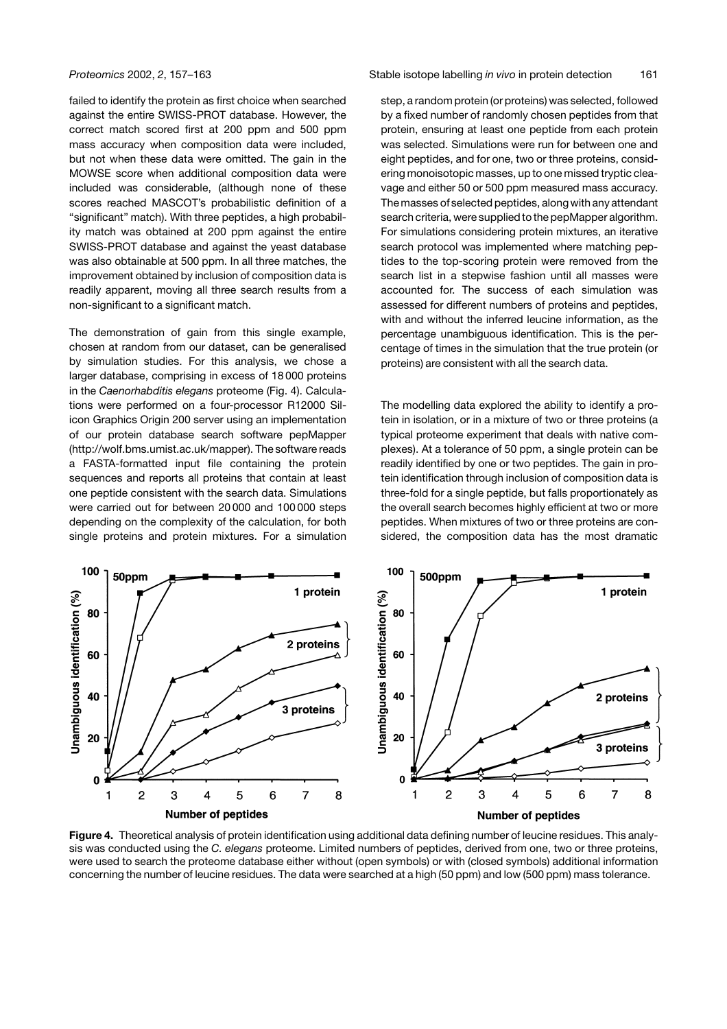failed to identify the protein as first choice when searched against the entire SWISS-PROT database. However, the correct match scored first at 200 ppm and 500 ppm mass accuracy when composition data were included, but not when these data were omitted. The gain in the MOWSE score when additional composition data were included was considerable, (although none of these scores reached MASCOT's probabilistic definition of a "significant" match). With three peptides, a high probability match was obtained at 200 ppm against the entire SWISS-PROT database and against the yeast database was also obtainable at 500 ppm. In all three matches, the improvement obtained by inclusion of composition data is readily apparent, moving all three search results from a non-significant to a significant match.

The demonstration of gain from this single example, chosen at random from our dataset, can be generalised by simulation studies. For this analysis, we chose a larger database, comprising in excess of 18 000 proteins in the *Caenorhabditis elegans* proteome (Fig. 4). Calculations were performed on a four-processor R12000 Silicon Graphics Origin 200 server using an implementation of our protein database search software pepMapper (http://wolf.bms.umist.ac.uk/mapper). The software reads a FASTA-formatted input file containing the protein sequences and reports all proteins that contain at least one peptide consistent with the search data. Simulations were carried out for between 20 000 and 100 000 steps depending on the complexity of the calculation, for both single proteins and protein mixtures. For a simulation

*Proteomics* 2002, *2*, 157–163 Stable isotope labelling *in vivo* in protein detection 161

step, a random protein (or proteins) was selected, followed by a fixed number of randomly chosen peptides from that protein, ensuring at least one peptide from each protein was selected. Simulations were run for between one and eight peptides, and for one, two or three proteins, considering monoisotopic masses, up to one missed tryptic cleavage and either 50 or 500 ppm measured mass accuracy. The masses of selected peptides, along with any attendant search criteria, were supplied to the pepMapper algorithm. For simulations considering protein mixtures, an iterative search protocol was implemented where matching peptides to the top-scoring protein were removed from the search list in a stepwise fashion until all masses were accounted for. The success of each simulation was assessed for different numbers of proteins and peptides, with and without the inferred leucine information, as the percentage unambiguous identification. This is the percentage of times in the simulation that the true protein (or proteins) are consistent with all the search data.

The modelling data explored the ability to identify a protein in isolation, or in a mixture of two or three proteins (a typical proteome experiment that deals with native complexes). At a tolerance of 50 ppm, a single protein can be readily identified by one or two peptides. The gain in protein identification through inclusion of composition data is three-fold for a single peptide, but falls proportionately as the overall search becomes highly efficient at two or more peptides. When mixtures of two or three proteins are considered, the composition data has the most dramatic



**Figure 4.** Theoretical analysis of protein identification using additional data defining number of leucine residues. This analysis was conducted using the *C. elegans* proteome. Limited numbers of peptides, derived from one, two or three proteins, were used to search the proteome database either without (open symbols) or with (closed symbols) additional information concerning the number of leucine residues. The data were searched at a high (50 ppm) and low (500 ppm) mass tolerance.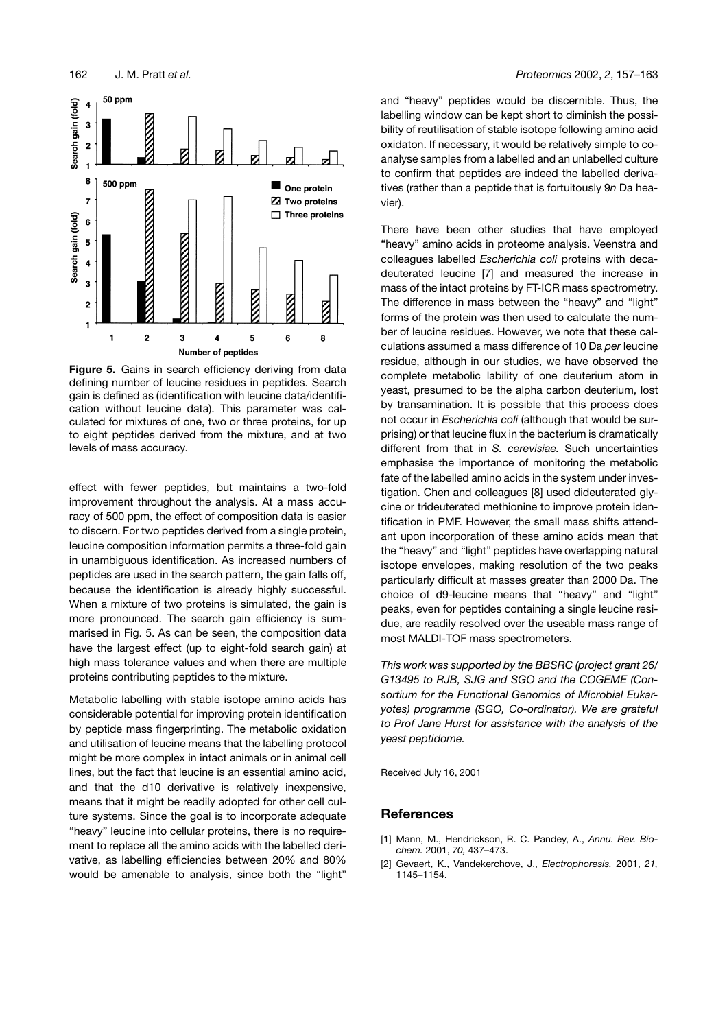

**Figure 5.** Gains in search efficiency deriving from data defining number of leucine residues in peptides. Search gain is defined as (identification with leucine data/identification without leucine data). This parameter was calculated for mixtures of one, two or three proteins, for up to eight peptides derived from the mixture, and at two levels of mass accuracy.

effect with fewer peptides, but maintains a two-fold improvement throughout the analysis. At a mass accuracy of 500 ppm, the effect of composition data is easier to discern. For two peptides derived from a single protein, leucine composition information permits a three-fold gain in unambiguous identification. As increased numbers of peptides are used in the search pattern, the gain falls off, because the identification is already highly successful. When a mixture of two proteins is simulated, the gain is more pronounced. The search gain efficiency is summarised in Fig. 5. As can be seen, the composition data have the largest effect (up to eight-fold search gain) at high mass tolerance values and when there are multiple proteins contributing peptides to the mixture.

Metabolic labelling with stable isotope amino acids has considerable potential for improving protein identification by peptide mass fingerprinting. The metabolic oxidation and utilisation of leucine means that the labelling protocol might be more complex in intact animals or in animal cell lines, but the fact that leucine is an essential amino acid, and that the d10 derivative is relatively inexpensive, means that it might be readily adopted for other cell culture systems. Since the goal is to incorporate adequate "heavy" leucine into cellular proteins, there is no requirement to replace all the amino acids with the labelled derivative, as labelling efficiencies between 20% and 80% would be amenable to analysis, since both the "light"

and "heavy" peptides would be discernible. Thus, the labelling window can be kept short to diminish the possibility of reutilisation of stable isotope following amino acid oxidaton. If necessary, it would be relatively simple to coanalyse samples from a labelled and an unlabelled culture to confirm that peptides are indeed the labelled derivatives (rather than a peptide that is fortuitously 9*n* Da heavier).

There have been other studies that have employed "heavy" amino acids in proteome analysis. Veenstra and colleagues labelled *Escherichia coli* proteins with decadeuterated leucine [7] and measured the increase in mass of the intact proteins by FT-ICR mass spectrometry. The difference in mass between the "heavy" and "light" forms of the protein was then used to calculate the number of leucine residues. However, we note that these calculations assumed a mass difference of 10 Da *per* leucine residue, although in our studies, we have observed the complete metabolic lability of one deuterium atom in yeast, presumed to be the alpha carbon deuterium, lost by transamination. It is possible that this process does not occur in *Escherichia coli* (although that would be surprising) or that leucine flux in the bacterium is dramatically different from that in *S. cerevisiae.* Such uncertainties emphasise the importance of monitoring the metabolic fate of the labelled amino acids in the system under investigation. Chen and colleagues [8] used dideuterated glycine or trideuterated methionine to improve protein identification in PMF. However, the small mass shifts attendant upon incorporation of these amino acids mean that the "heavy" and "light" peptides have overlapping natural isotope envelopes, making resolution of the two peaks particularly difficult at masses greater than 2000 Da. The choice of d9-leucine means that "heavy" and "light" peaks, even for peptides containing a single leucine residue, are readily resolved over the useable mass range of most MALDI-TOF mass spectrometers.

*This work was supported by the BBSRC (project grant 26/ G13495 to RJB, SJG and SGO and the COGEME (Consortium for the Functional Genomics of Microbial Eukaryotes) programme (SGO, Co-ordinator). We are grateful to Prof Jane Hurst for assistance with the analysis of the yeast peptidome.*

Received July 16, 2001

### **References**

- [1] Mann, M., Hendrickson, R. C. Pandey, A., *Annu. Rev. Biochem.* 2001, *70,* 437–473.
- [2] Gevaert, K., Vandekerchove, J., *Electrophoresis,* 2001, *21,* 1145–1154.